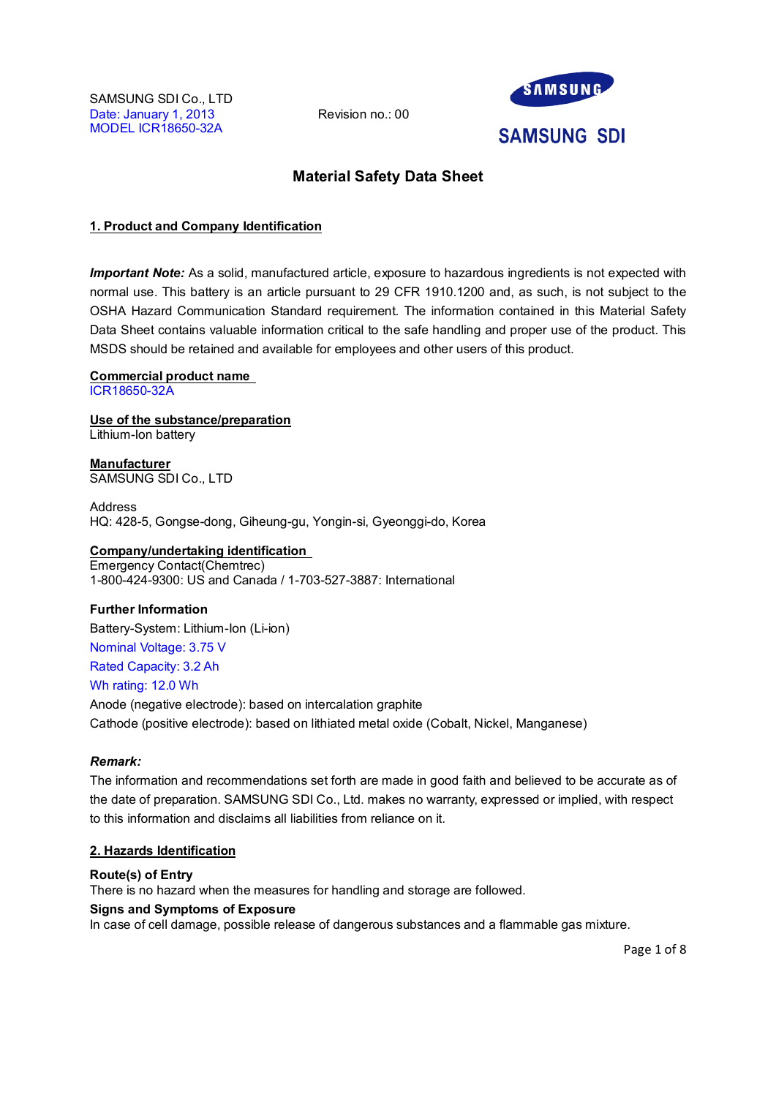

# **Material Safety Data Sheet**

# **1. Product and Company Identification**

*Important Note:* As a solid, manufactured article, exposure to hazardous ingredients is not expected with normal use. This battery is an article pursuant to 29 CFR 1910.1200 and, as such, is not subject to the OSHA Hazard Communication Standard requirement. The information contained in this Material Safety Data Sheet contains valuable information critical to the safe handling and proper use of the product. This MSDS should be retained and available for employees and other users of this product.

### **Commercial product name**

ICR18650-32A

**Use of the substance/preparation** Lithium-Ion battery

**Manufacturer** SAMSUNG SDI Co., LTD

Address HQ: 428-5, Gongse-dong, Giheung-gu, Yongin-si, Gyeonggi-do, Korea

# **Company/undertaking identification**

Emergency Contact(Chemtrec) 1-800-424-9300: US and Canada / 1-703-527-3887: International

# **Further Information**

Battery-System: Lithium-Ion (Li-ion)

Nominal Voltage: 3.75 V Rated Capacity: 3.2 Ah

# Wh rating: 12.0 Wh

Anode (negative electrode): based on intercalation graphite Cathode (positive electrode): based on lithiated metal oxide (Cobalt, Nickel, Manganese)

# *Remark:*

The information and recommendations set forth are made in good faith and believed to be accurate as of the date of preparation. SAMSUNG SDI Co., Ltd. makes no warranty, expressed or implied, with respect to this information and disclaims all liabilities from reliance on it.

# **2. Hazards Identification**

# **Route(s) of Entry**

There is no hazard when the measures for handling and storage are followed.

# **Signs and Symptoms of Exposure**

In case of cell damage, possible release of dangerous substances and a flammable gas mixture.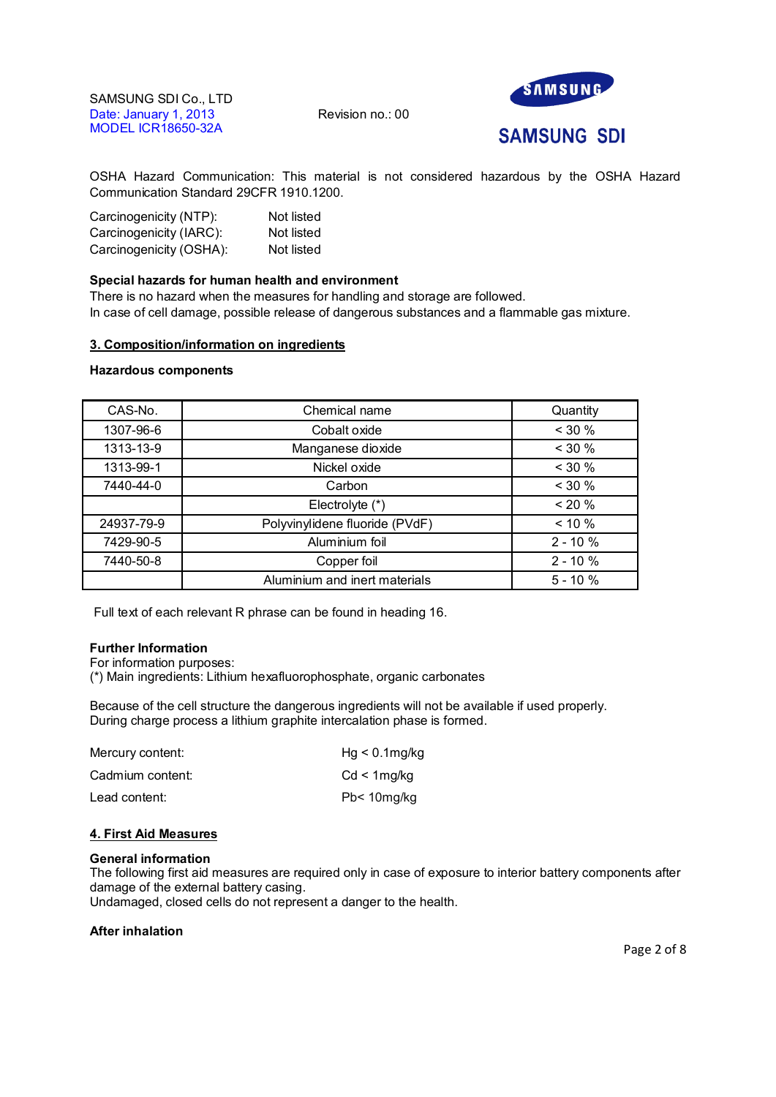

**SAMSUNG SDI** 

OSHA Hazard Communication: This material is not considered hazardous by the OSHA Hazard Communication Standard 29CFR 1910.1200.

| Carcinogenicity (NTP):  | Not listed |
|-------------------------|------------|
| Carcinogenicity (IARC): | Not listed |
| Carcinogenicity (OSHA): | Not listed |

# **Special hazards for human health and environment**

There is no hazard when the measures for handling and storage are followed. In case of cell damage, possible release of dangerous substances and a flammable gas mixture.

# **3. Composition/information on ingredients**

# **Hazardous components**

| CAS-No.    | Chemical name                  | Quantity    |
|------------|--------------------------------|-------------|
| 1307-96-6  | Cobalt oxide                   | < 30 %      |
| 1313-13-9  | Manganese dioxide              | $<$ 30 %    |
| 1313-99-1  | Nickel oxide                   | $< 30 \%$   |
| 7440-44-0  | Carbon                         | $<$ 30 %    |
|            | Electrolyte (*)                | $< 20 \%$   |
| 24937-79-9 | Polyvinylidene fluoride (PVdF) | $< 10 \%$   |
| 7429-90-5  | Aluminium foil                 | $2 - 10%$   |
| 7440-50-8  | Copper foil                    | $2 - 10 \%$ |
|            | Aluminium and inert materials  | $5 - 10%$   |

Full text of each relevant R phrase can be found in heading 16.

# **Further Information**

For information purposes:

(\*) Main ingredients: Lithium hexafluorophosphate, organic carbonates

Because of the cell structure the dangerous ingredients will not be available if used properly. During charge process a lithium graphite intercalation phase is formed.

| Mercury content: | $Hg < 0.1$ mg/kg |
|------------------|------------------|
| Cadmium content: | $Cd < 1$ mg/kg   |
| Lead content:    | Pb< 10mg/kg      |

# **4. First Aid Measures**

#### **General information**

The following first aid measures are required only in case of exposure to interior battery components after damage of the external battery casing.

Undamaged, closed cells do not represent a danger to the health.

# **After inhalation**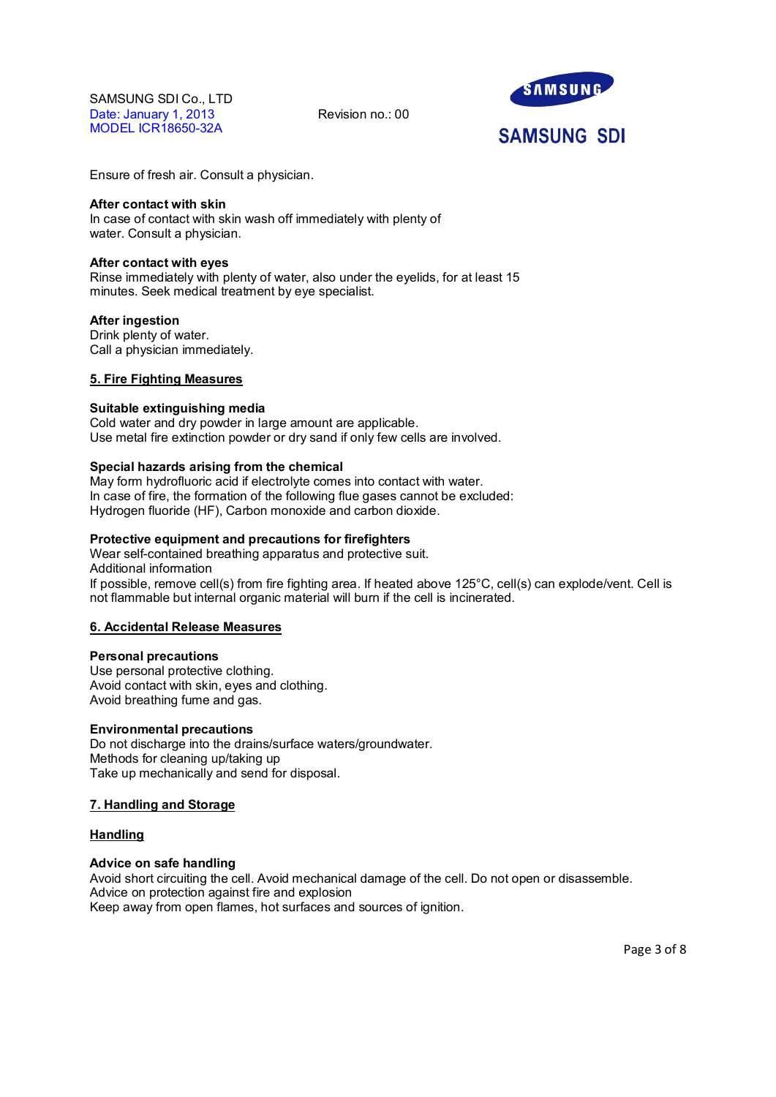

# **SAMSUNG SDI**

Ensure of fresh air. Consult a physician.

### **After contact with skin**

In case of contact with skin wash off immediately with plenty of water. Consult a physician.

### **After contact with eyes**

Rinse immediately with plenty of water, also under the eyelids, for at least 15 minutes. Seek medical treatment by eye specialist.

# **After ingestion**

Drink plenty of water. Call a physician immediately.

# **5. Fire Fighting Measures**

#### **Suitable extinguishing media**

Cold water and dry powder in large amount are applicable. Use metal fire extinction powder or dry sand if only few cells are involved.

# **Special hazards arising from the chemical**

May form hydrofluoric acid if electrolyte comes into contact with water. In case of fire, the formation of the following flue gases cannot be excluded: Hydrogen fluoride (HF), Carbon monoxide and carbon dioxide.

# **Protective equipment and precautions for firefighters**

Wear self-contained breathing apparatus and protective suit. Additional information If possible, remove cell(s) from fire fighting area. If heated above 125°C, cell(s) can explode/vent. Cell is not flammable but internal organic material will burn if the cell is incinerated.

# **6. Accidental Release Measures**

#### **Personal precautions**

Use personal protective clothing. Avoid contact with skin, eyes and clothing. Avoid breathing fume and gas.

# **Environmental precautions**

Do not discharge into the drains/surface waters/groundwater. Methods for cleaning up/taking up Take up mechanically and send for disposal.

# **7. Handling and Storage**

# **Handling**

# **Advice on safe handling**

Avoid short circuiting the cell. Avoid mechanical damage of the cell. Do not open or disassemble. Advice on protection against fire and explosion Keep away from open flames, hot surfaces and sources of ignition.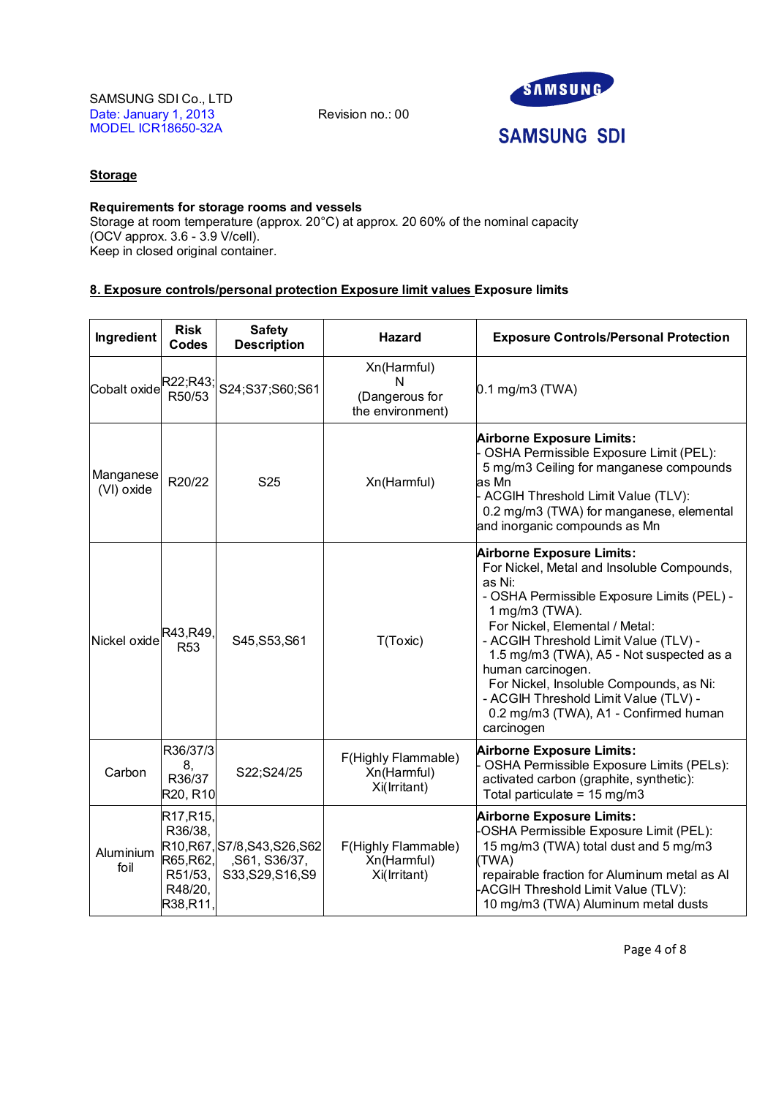

# **Storage**

# **Requirements for storage rooms and vessels**

Storage at room temperature (approx. 20°C) at approx. 20 60% of the nominal capacity (OCV approx. 3.6 - 3.9 V/cell). Keep in closed original container.

# **8. Exposure controls/personal protection Exposure limit values Exposure limits**

| Ingredient              | <b>Risk</b><br><b>Codes</b>                                                                   | <b>Safety</b><br><b>Description</b>                                 | <b>Hazard</b>                                          | <b>Exposure Controls/Personal Protection</b>                                                                                                                                                                                                                                                                                                                                                                                                    |
|-------------------------|-----------------------------------------------------------------------------------------------|---------------------------------------------------------------------|--------------------------------------------------------|-------------------------------------------------------------------------------------------------------------------------------------------------------------------------------------------------------------------------------------------------------------------------------------------------------------------------------------------------------------------------------------------------------------------------------------------------|
| Cobalt oxide R22;R43;   |                                                                                               | S24;S37;S60;S61                                                     | Xn(Harmful)<br>N<br>(Dangerous for<br>the environment) | $0.1$ mg/m3 (TWA)                                                                                                                                                                                                                                                                                                                                                                                                                               |
| Manganese<br>(VI) oxide | R20/22                                                                                        | S <sub>25</sub>                                                     | Xn(Harmful)                                            | <b>Airborne Exposure Limits:</b><br>OSHA Permissible Exposure Limit (PEL):<br>5 mg/m3 Ceiling for manganese compounds<br>as Mn<br>- ACGIH Threshold Limit Value (TLV):<br>0.2 mg/m3 (TWA) for manganese, elemental<br>and inorganic compounds as Mn                                                                                                                                                                                             |
| Nickel oxide            | R43, R49,<br>R <sub>53</sub>                                                                  | S45, S53, S61                                                       | T(Toxic)                                               | <b>Airborne Exposure Limits:</b><br>For Nickel, Metal and Insoluble Compounds,<br>as Ni:<br>- OSHA Permissible Exposure Limits (PEL) -<br>1 mg/m3 (TWA).<br>For Nickel, Elemental / Metal:<br>- ACGIH Threshold Limit Value (TLV) -<br>1.5 mg/m3 (TWA), A5 - Not suspected as a<br>human carcinogen.<br>For Nickel, Insoluble Compounds, as Ni:<br>- ACGIH Threshold Limit Value (TLV) -<br>0.2 mg/m3 (TWA), A1 - Confirmed human<br>carcinogen |
| Carbon                  | R36/37/3<br>8,<br>R36/37<br>R20, R10                                                          | S22;S24/25                                                          | F(Highly Flammable)<br>Xn(Harmful)<br>Xi(Irritant)     | <b>Airborne Exposure Limits:</b><br>OSHA Permissible Exposure Limits (PELs):<br>activated carbon (graphite, synthetic):<br>Total particulate = 15 mg/m3                                                                                                                                                                                                                                                                                         |
| Aluminium<br>foil       | R <sub>17</sub> , R <sub>15</sub> ,<br>R36/38,<br>R65, R62,<br>R51/53,<br>R48/20,<br>R38,R11, | R10, R67, S7/8, S43, S26, S62<br>,S61, S36/37,<br>S33, S29, S16, S9 | F(Highly Flammable)<br>Xn(Harmful)<br>Xi(Irritant)     | <b>Airborne Exposure Limits:</b><br>OSHA Permissible Exposure Limit (PEL):<br>15 mg/m3 (TWA) total dust and 5 mg/m3<br>(TWA)<br>repairable fraction for Aluminum metal as Al<br>ACGIH Threshold Limit Value (TLV):<br>10 mg/m3 (TWA) Aluminum metal dusts                                                                                                                                                                                       |

Page 4 of 8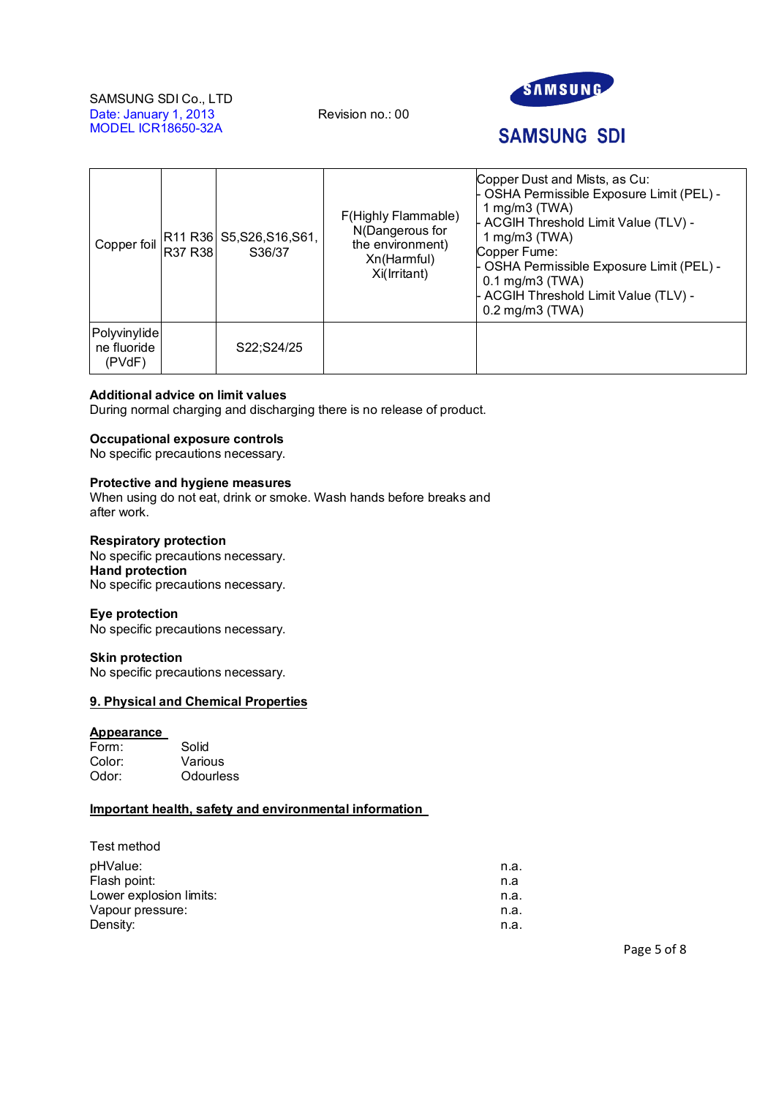

# **SAMSUNG SDI**

| Copper foil                           | R37 R38 | R11 R36 S5, S26, S16, S61,<br>S36/37 | F(Highly Flammable)<br>N(Dangerous for<br>the environment)<br>Xn(Harmful)<br>Xi(Irritant) | Copper Dust and Mists, as Cu:<br>- OSHA Permissible Exposure Limit (PEL) -<br>1 mg/m $3$ (TWA)<br>- ACGIH Threshold Limit Value (TLV) -<br>1 mg/m $3$ (TWA)<br>Copper Fume:<br>- OSHA Permissible Exposure Limit (PEL) -<br>$0.1$ mg/m $3$ (TWA)<br>- ACGIH Threshold Limit Value (TLV) -<br>$0.2$ mg/m $3$ (TWA) |
|---------------------------------------|---------|--------------------------------------|-------------------------------------------------------------------------------------------|-------------------------------------------------------------------------------------------------------------------------------------------------------------------------------------------------------------------------------------------------------------------------------------------------------------------|
| Polyvinylide<br>ne fluoride<br>(PVdF) |         | S22;S24/25                           |                                                                                           |                                                                                                                                                                                                                                                                                                                   |

# **Additional advice on limit values**

During normal charging and discharging there is no release of product.

# **Occupational exposure controls**

No specific precautions necessary.

# **Protective and hygiene measures**

When using do not eat, drink or smoke. Wash hands before breaks and after work.

#### **Respiratory protection**

No specific precautions necessary. **Hand protection** No specific precautions necessary.

#### **Eye protection**

No specific precautions necessary.

#### **Skin protection**

No specific precautions necessary.

#### **9. Physical and Chemical Properties**

#### **Appearance**

| Form:  | Solid     |
|--------|-----------|
| Color: | Various   |
| Odor:  | Odourless |

# **Important health, safety and environmental information**

# Test method

| pHValue:                | n.a. |
|-------------------------|------|
| Flash point:            | n.a  |
| Lower explosion limits: | n.a. |
| Vapour pressure:        | n.a. |
| Density:                | n.a. |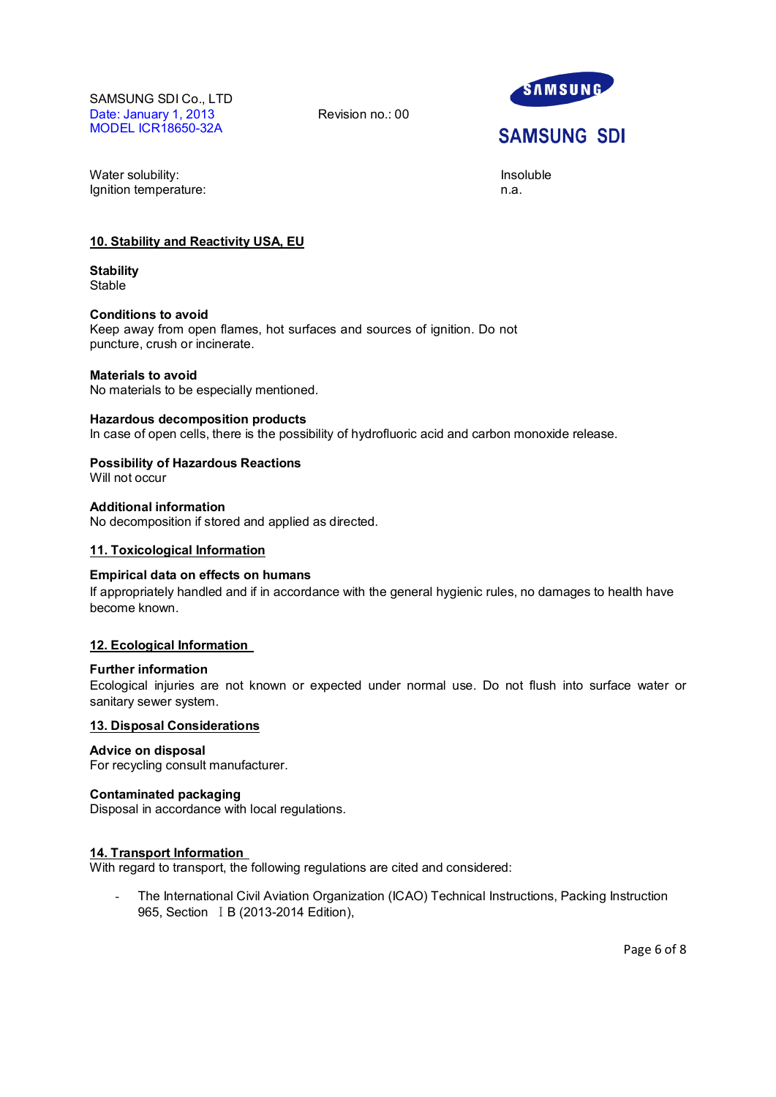

# **SAMSUNG SDI**

Water solubility: **Insoluble** and the soluble of the soluble of the soluble of the soluble of the soluble of the soluble of the soluble of the soluble of the soluble of the soluble of the soluble of the soluble of the solu Ignition temperature: n.a.

# **10. Stability and Reactivity USA, EU**

**Stability** Stable

#### **Conditions to avoid**

Keep away from open flames, hot surfaces and sources of ignition. Do not puncture, crush or incinerate.

# **Materials to avoid**

No materials to be especially mentioned.

#### **Hazardous decomposition products**

In case of open cells, there is the possibility of hydrofluoric acid and carbon monoxide release.

# **Possibility of Hazardous Reactions**

Will not occur

# **Additional information**

No decomposition if stored and applied as directed.

#### **11. Toxicological Information**

#### **Empirical data on effects on humans**

If appropriately handled and if in accordance with the general hygienic rules, no damages to health have become known.

# **12. Ecological Information**

### **Further information**

Ecological injuries are not known or expected under normal use. Do not flush into surface water or sanitary sewer system.

# **13. Disposal Considerations**

# **Advice on disposal**

For recycling consult manufacturer.

#### **Contaminated packaging**

Disposal in accordance with local regulations.

# **14. Transport Information**

With regard to transport, the following regulations are cited and considered:

The International Civil Aviation Organization (ICAO) Technical Instructions, Packing Instruction 965, Section I B (2013-2014 Edition),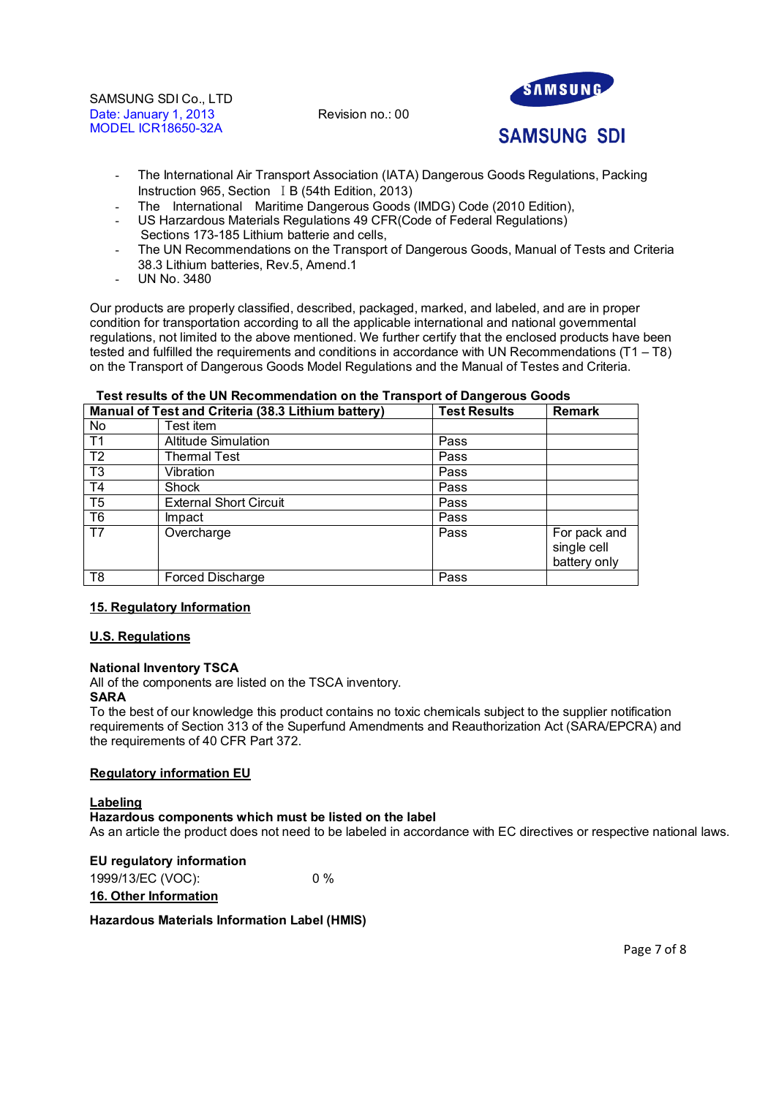

# **SAMSUNG SDI**

- The International Air Transport Association (IATA) Dangerous Goods Regulations, Packing Instruction 965, Section I B (54th Edition, 2013)
- The International Maritime Dangerous Goods (IMDG) Code (2010 Edition),
- US Harzardous Materials Regulations 49 CFR(Code of Federal Regulations) Sections 173-185 Lithium batterie and cells.
- The UN Recommendations on the Transport of Dangerous Goods, Manual of Tests and Criteria 38.3 Lithium batteries, Rev.5, Amend.1
- UN No. 3480

Our products are properly classified, described, packaged, marked, and labeled, and are in proper condition for transportation according to all the applicable international and national governmental regulations, not limited to the above mentioned. We further certify that the enclosed products have been tested and fulfilled the requirements and conditions in accordance with UN Recommendations (T1 – T8) on the Transport of Dangerous Goods Model Regulations and the Manual of Testes and Criteria.

# **Test results of the UN Recommendation on the Transport of Dangerous Goods Manual of Test and Criteria (38.3 Lithium battery)** No **Test** item T1 Altitude Simulation Pass T2 Thermal Test Pass T3 Vibration Pass T4 Shock Pass T5 External Short Circuit Fass T6 | Impact | Pass T7 Overcharge Pass Pass For pack and single cell battery only T8 Forced Discharge Pass

# **15. Regulatory Information**

# **U.S. Regulations**

# **National Inventory TSCA**

All of the components are listed on the TSCA inventory.

# **SARA**

To the best of our knowledge this product contains no toxic chemicals subject to the supplier notification requirements of Section 313 of the Superfund Amendments and Reauthorization Act (SARA/EPCRA) and the requirements of 40 CFR Part 372.

# **Regulatory information EU**

# **Labeling**

#### **Hazardous components which must be listed on the label**

As an article the product does not need to be labeled in accordance with EC directives or respective national laws.

**EU regulatory information** 1999/13/EC (VOC): 0 % **16. Other Information**

# **Hazardous Materials Information Label (HMIS)**